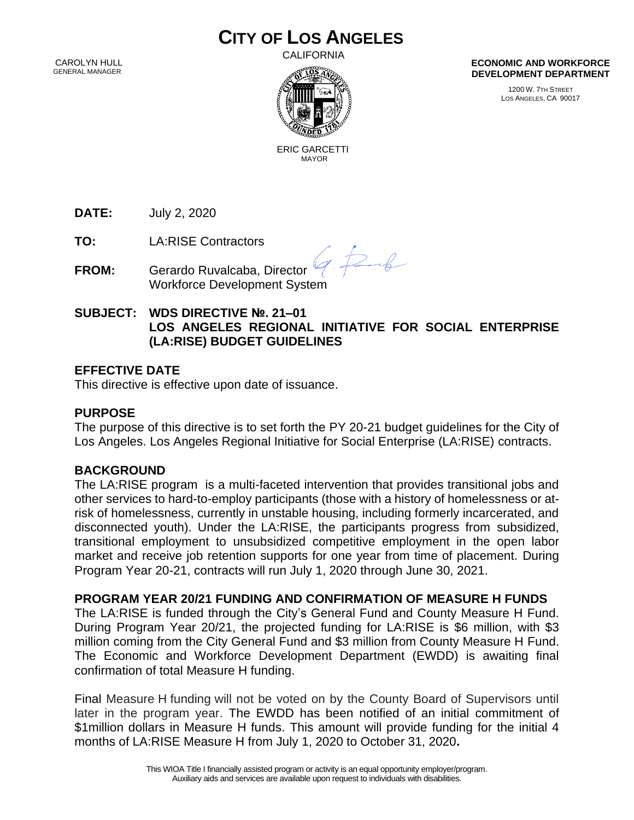# **CITY OF LOS ANGELES**

 CAROLYN HULL GENERAL MANAGER **CALIFORNIA** 



**ECONOMIC AND WORKFORCE DEVELOPMENT DEPARTMENT**

> 1200 W. 7TH STREET LOS ANGELES, CA 90017

 ERIC GARCETTI MAYOR

**DATE:** July 2, 2020

**TO:** LA:RISE Contractors

**FROM:** Gerardo Ruvalcaba, Director Workforce Development System

 $\frac{1}{2}$ 

# **SUBJECT: WDS DIRECTIVE №. 21–01 LOS ANGELES REGIONAL INITIATIVE FOR SOCIAL ENTERPRISE (LA:RISE) BUDGET GUIDELINES**

# **EFFECTIVE DATE**

This directive is effective upon date of issuance.

#### **PURPOSE**

The purpose of this directive is to set forth the PY 20-21 budget guidelines for the City of Los Angeles. Los Angeles Regional Initiative for Social Enterprise (LA:RISE) contracts.

#### **BACKGROUND**

The LA:RISE program is a multi-faceted intervention that provides transitional jobs and other services to hard-to-employ participants (those with a history of homelessness or atrisk of homelessness, currently in unstable housing, including formerly incarcerated, and disconnected youth). Under the LA:RISE, the participants progress from subsidized, transitional employment to unsubsidized competitive employment in the open labor market and receive job retention supports for one year from time of placement. During Program Year 20-21, contracts will run July 1, 2020 through June 30, 2021.

**PROGRAM YEAR 20/21 FUNDING AND CONFIRMATION OF MEASURE H FUNDS**

The LA:RISE is funded through the City's General Fund and County Measure H Fund. During Program Year 20/21, the projected funding for LA:RISE is \$6 million, with \$3 million coming from the City General Fund and \$3 million from County Measure H Fund. The Economic and Workforce Development Department (EWDD) is awaiting final confirmation of total Measure H funding.

Final Measure H funding will not be voted on by the County Board of Supervisors until later in the program year. The EWDD has been notified of an initial commitment of \$1million dollars in Measure H funds. This amount will provide funding for the initial 4 months of LA:RISE Measure H from July 1, 2020 to October 31, 2020**.**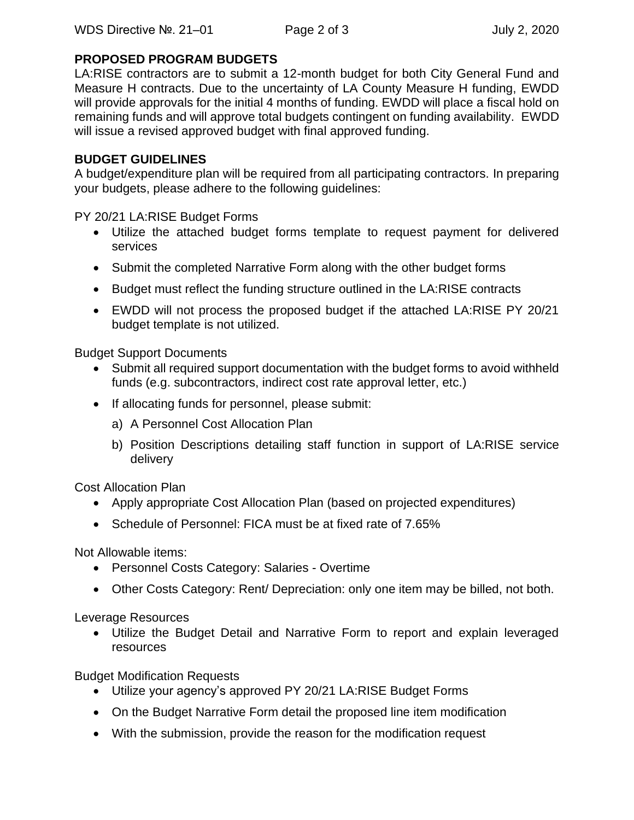### **PROPOSED PROGRAM BUDGETS**

LA:RISE contractors are to submit a 12-month budget for both City General Fund and Measure H contracts. Due to the uncertainty of LA County Measure H funding, EWDD will provide approvals for the initial 4 months of funding. EWDD will place a fiscal hold on remaining funds and will approve total budgets contingent on funding availability. EWDD will issue a revised approved budget with final approved funding.

### **BUDGET GUIDELINES**

A budget/expenditure plan will be required from all participating contractors. In preparing your budgets, please adhere to the following guidelines:

PY 20/21 LA:RISE Budget Forms

- Utilize the attached budget forms template to request payment for delivered services
- Submit the completed Narrative Form along with the other budget forms
- Budget must reflect the funding structure outlined in the LA:RISE contracts
- EWDD will not process the proposed budget if the attached LA:RISE PY 20/21 budget template is not utilized.

Budget Support Documents

- Submit all required support documentation with the budget forms to avoid withheld funds (e.g. subcontractors, indirect cost rate approval letter, etc.)
- If allocating funds for personnel, please submit:
	- a) A Personnel Cost Allocation Plan
	- b) Position Descriptions detailing staff function in support of LA:RISE service delivery

Cost Allocation Plan

- Apply appropriate Cost Allocation Plan (based on projected expenditures)
- Schedule of Personnel: FICA must be at fixed rate of 7.65%

Not Allowable items:

- Personnel Costs Category: Salaries Overtime
- Other Costs Category: Rent/ Depreciation: only one item may be billed, not both.

Leverage Resources

• Utilize the Budget Detail and Narrative Form to report and explain leveraged resources

Budget Modification Requests

- Utilize your agency's approved PY 20/21 LA:RISE Budget Forms
- On the Budget Narrative Form detail the proposed line item modification
- With the submission, provide the reason for the modification request